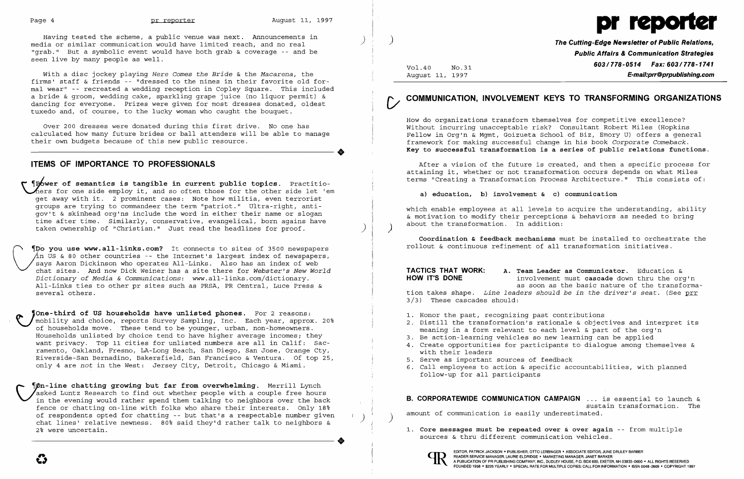**•** 



Having tested the scheme, a public venue was next. Announcements in  $\qquad$  ) and the scheme of Public Relations,  $\qquad$  (and the scheme of Public Relations,  $\qquad$  ) and the scheme of  $\qquad$  (and the scheme of  $\qquad$  and  $\qquad$  media or similar communication would have limited reach, and no real "grab." But a symbolic event would have both grab & coverage -- and be seen live by many people as well.

With a disc jockey playing Here *Comes the Bride* & the *Macarena,* the firms' staff & friends -- "dressed to the nines in their favorite old formal wear" -- recreated a wedding reception in Copley Square. This included a bride & groom, wedding cake, sparkling grape juice (no liquor permit) & dancing for everyone. Prizes were given for most dresses donated, oldest tuxedo and, of course, to the lucky woman who caught the bouquet.

Over 200 dresses were donated during this first drive. No one has calculated how many future brides or ball attenders will be able to manage their own budgets because of this new public resource.

*Po* you use www.all-links.com? It connects to sites of 3500 newspapers  $\not|$ in US & 80 other countries -- the Internet's largest index of newspapers, says Aaron Dickinson who operates All-Links. Also has an index of web chat sites. And now Dick Weiner has a site there for *Webster's New World Dictionary of Media* & *Communications:* www.all-links.com/dictionary. All-Links ties to other pr sites such as PRSA, PR Central, Luce Press & several others.

### **ITEMS OF IMPORTANCE TO PROFESSIONALS**

Power of semantics is tangible in current public topics. Practitio- $^{\prime}$  for one side employ it, and so often those for the other side let 'em get away with it. 2 prominent cases: Note how militia, even terrorist groups are trying to commandeer the term "patriot." Ultra-right, antigov't & skinhead org'ns include the word in either their name or slogan time after time. Similarly, conservative, evangelical, born agains have taken ownership of "Christian." Just read the headlines for proof.

which enable employees at all levels to acquire the understanding, ability & motivation to modify their perceptions & behaviors as needed to bring about the transformation. In addition:

**'One-third of US households have unlisted phones.** For 2 reasons: ~mobility and choice, reports Survey Sampling, Inc. Each year, approx. 20% of households move. These tend to be younger, urban, non-homeowners. Households unlisted by choice tend to have higher average incomes; they want privacy. Top 11 cities for unlisted numbers are all in Calif: Sac ramento, Oakland, Fresno, LA-Long Beach, San Diego, San Jose, Orange Cty, Riverside-San Bernadino, Bakersfield, San Francisco & Ventura. Of top 25, only 4 are *not* in the West: Jersey City, Detroit, Chicago & Miami.

**An-line chatting growing but far from overwhelming.** Merrill Lynch asked Luntz Research to find out whether people with a couple free hours in the evening would rather spend them talking to neighbors over the back asked Luntz Research to find out whether people with a couple free hours in the evening would rather spend them talking to neighbors over the back fence or chatting on-line with folks who share their interests. Only 18% of respondents opted for chatting -- but that's a respectable number given ) chat lines' relative newness. 80% said they'd rather talk to neighbors & chat lines' relative newness. 80% said they'd rather talk to neighbors & All More messages must be repeated over & over again -- from multiple<br>2% were uncertain. The multiple of the messages must be repeated over & over ag

- 1. Honor the past, recognizing past contributions
- meaning in a form relevant to each level & part of the org'n
- 3. Be action-learning vehicles so new learning can be applied 4. Create opportunities for participants to dialogue among themselves &
- with their leaders
- 5. Serve as important sources of feedback
- follow-up for all participants

**B. CORPORATEWIDE COMMUNICATION CAMPAIGN** ... is essential to launch & sustain transformation. The amount of communication is easily underestimated.

4. Core messages must be repeated over & over again -- iron<br>
sources & thru different communication vehicles.<br>
EDITOR, PATRICK JACKSON. PUBLISHER, OTTO LERBINGER • ASSOCIATE EDITOR, JUNE DRULEY BARBER



)

# **COMMUNICATION, INVOLVEMENT KEYS TO TRANSFORMING ORGANIZATIONS**

**Public Affairs & Communication Strategies 603/778-0514 Fax: 603/778-1741** Vol.40 No.31 August 11, 1997 **E-mail:prr@prpublishing.com** 

How do organizations transform themselves for competitive excellence? Without incurring unacceptable risk? Consultant Robert Miles (Hopkins Fellow in Org'n & Mgmt, Goizueta School of Biz, Emory U) offers a general framework for making successful change in his book *Corporate Comeback.*  **Key to successful transformation is a series of public relations functions .** 

After a vision of the future is created, and then a specific process for attaining it, whether or not transformation occurs depends on what Miles terms "Creating a Transformation Process Architecture." This consists of:

**a) education, b) involvement & c) communication** 

**Coordination & feedback mechanisms** must be installed to orchestrate the rollout & continuous refinement of all transformation initiatives.

**TACTICS THAT WORK: A. Team Leader as Communicator.** Education & involvement must **cascade** down thru the org'n as soon as the basic nature of the transformation takes shape. *Line leaders should be in the driver's seat.* (See prr 3/3) These cascades should:

2. Distill the transformation's rationale & objectives and interpret its

6. Call employees to action & specific accountabilities, with planned